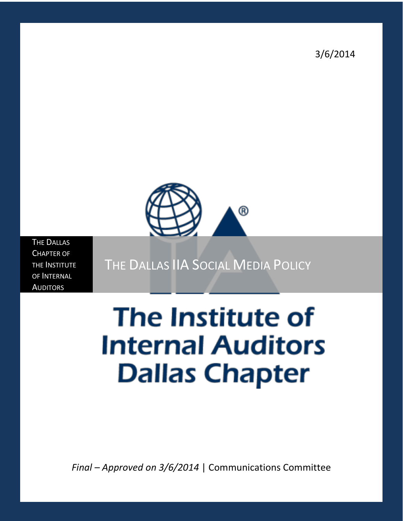3/6/2014



THE DALLAS CHAPTER OF THE INSTITUTE OF INTERNAL **AUDITORS** 

THE DALLAS IIA SOCIAL MEDIA POLICY

# **The Institute of Internal Auditors Dallas Chapter**

*Final – Approved on 3/6/2014* | Communications Committee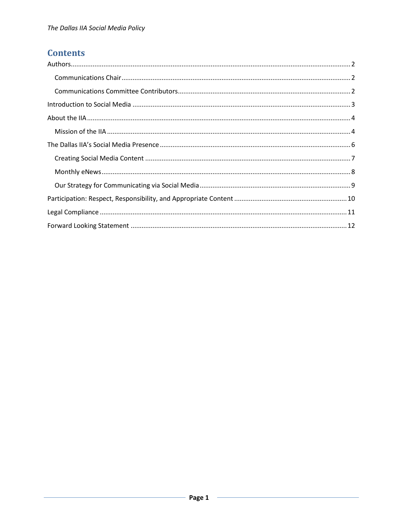## **Contents**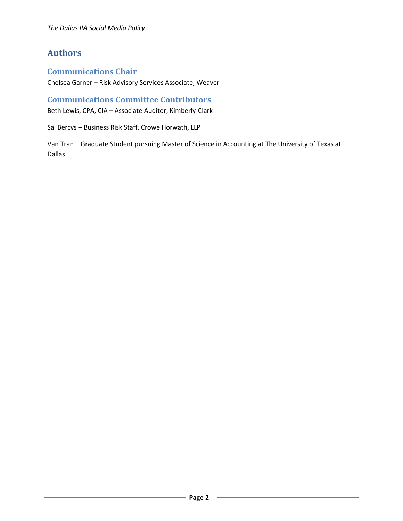## <span id="page-2-0"></span>**Authors**

#### <span id="page-2-1"></span>**Communications Chair**

Chelsea Garner – Risk Advisory Services Associate, Weaver

## <span id="page-2-2"></span>**Communications Committee Contributors**

Beth Lewis, CPA, CIA – Associate Auditor, Kimberly-Clark

Sal Bercys – Business Risk Staff, Crowe Horwath, LLP

Van Tran – Graduate Student pursuing Master of Science in Accounting at The University of Texas at Dallas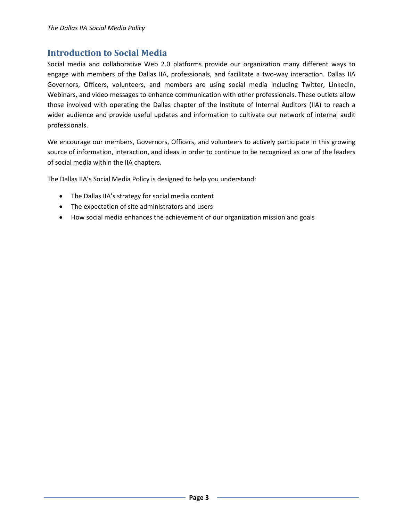## <span id="page-3-0"></span>**Introduction to Social Media**

Social media and collaborative Web 2.0 platforms provide our organization many different ways to engage with members of the Dallas IIA, professionals, and facilitate a two-way interaction. Dallas IIA Governors, Officers, volunteers, and members are using social media including Twitter, LinkedIn, Webinars, and video messages to enhance communication with other professionals. These outlets allow those involved with operating the Dallas chapter of the Institute of Internal Auditors (IIA) to reach a wider audience and provide useful updates and information to cultivate our network of internal audit professionals.

We encourage our members, Governors, Officers, and volunteers to actively participate in this growing source of information, interaction, and ideas in order to continue to be recognized as one of the leaders of social media within the IIA chapters.

The Dallas IIA's Social Media Policy is designed to help you understand:

- The Dallas IIA's strategy for social media content
- The expectation of site administrators and users
- How social media enhances the achievement of our organization mission and goals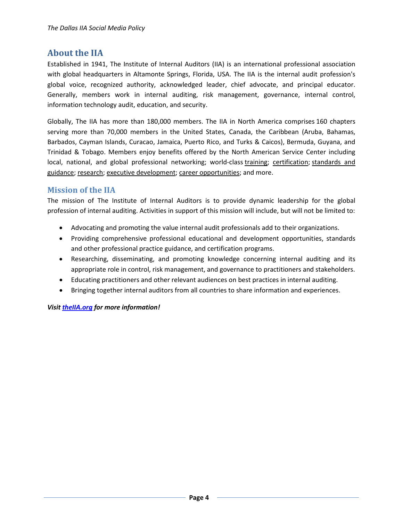## <span id="page-4-0"></span>**About the IIA**

Established in 1941, The Institute of Internal Auditors (IIA) is an international professional association with global headquarters in Altamonte Springs, Florida, USA. The IIA is the internal audit profession's global voice, recognized authority, acknowledged leader, chief advocate, and principal educator. Generally, members work in internal auditing, risk management, governance, internal control, information technology audit, education, and security.

Globally, The IIA has more than 180,000 members. The IIA in North America comprises 160 chapters serving more than 70,000 members in the United States, Canada, the Caribbean (Aruba, Bahamas, Barbados, Cayman Islands, Curacao, Jamaica, Puerto Rico, and Turks & Caicos), Bermuda, Guyana, and Trinidad & Tobago. Members enjoy benefits offered by the North American Service Center including local, national, and global professional networking; world-class [training;](https://na.theiia.org/training/Pages/Training-and-Events.aspx) [certification;](https://na.theiia.org/certification/Pages/Certification.aspx) standards and [guidance;](https://na.theiia.org/standards-guidance/Pages/Standards-and-Guidance-IPPF.aspx) [research;](https://na.theiia.org/iiarf/Pages/The-IIA-Research-Foundation.aspx) [executive development;](https://na.theiia.org/training/Pages/Executive-Development.aspx) [career opportunities;](https://na.theiia.org/about-us/Pages/Audit-Career-Center.aspx) and more.

#### <span id="page-4-1"></span>**Mission of the IIA**

The mission of The Institute of Internal Auditors is to provide dynamic leadership for the global profession of internal auditing. Activities in support of this mission will include, but will not be limited to:

- Advocating and promoting the value internal audit professionals add to their organizations.
- Providing comprehensive professional educational and development opportunities, standards and other professional practice guidance, and certification programs.
- Researching, disseminating, and promoting knowledge concerning internal auditing and its appropriate role in control, risk management, and governance to practitioners and stakeholders.
- Educating practitioners and other relevant audiences on best practices in internal auditing.
- Bringing together internal auditors from all countries to share information and experiences.

*Visit theIIA.org for more information!*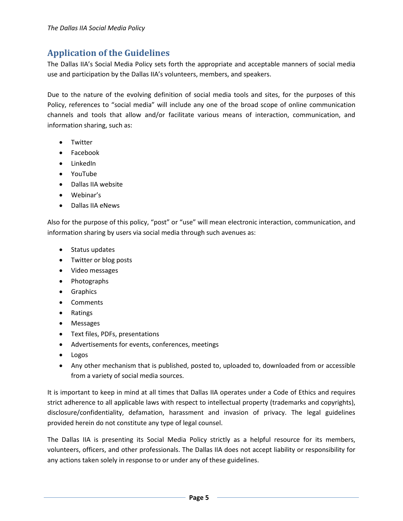## **Application of the Guidelines**

The Dallas IIA's Social Media Policy sets forth the appropriate and acceptable manners of social media use and participation by the Dallas IIA's volunteers, members, and speakers.

Due to the nature of the evolving definition of social media tools and sites, for the purposes of this Policy, references to "social media" will include any one of the broad scope of online communication channels and tools that allow and/or facilitate various means of interaction, communication, and information sharing, such as:

- Twitter
- Facebook
- LinkedIn
- YouTube
- Dallas IIA website
- Webinar's
- Dallas IIA eNews

Also for the purpose of this policy, "post" or "use" will mean electronic interaction, communication, and information sharing by users via social media through such avenues as:

- Status updates
- Twitter or blog posts
- Video messages
- Photographs
- Graphics
- Comments
- Ratings
- Messages
- Text files, PDFs, presentations
- Advertisements for events, conferences, meetings
- Logos
- Any other mechanism that is published, posted to, uploaded to, downloaded from or accessible from a variety of social media sources.

It is important to keep in mind at all times that Dallas IIA operates under a Code of Ethics and requires strict adherence to all applicable laws with respect to intellectual property (trademarks and copyrights), disclosure/confidentiality, defamation, harassment and invasion of privacy. The legal guidelines provided herein do not constitute any type of legal counsel.

The Dallas IIA is presenting its Social Media Policy strictly as a helpful resource for its members, volunteers, officers, and other professionals. The Dallas IIA does not accept liability or responsibility for any actions taken solely in response to or under any of these guidelines.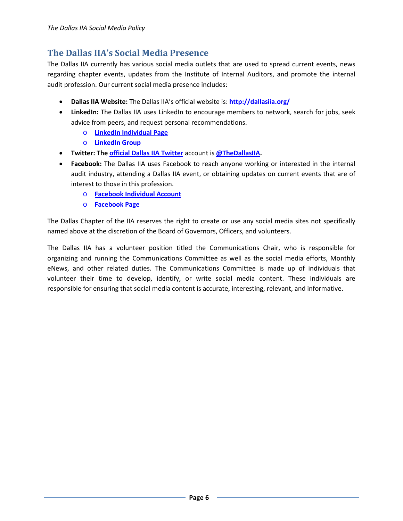## <span id="page-6-0"></span>**The Dallas IIA's Social Media Presence**

The Dallas IIA currently has various social media outlets that are used to spread current events, news regarding chapter events, updates from the Institute of Internal Auditors, and promote the internal audit profession. Our current social media presence includes:

- **Dallas IIA Website:** The Dallas IIA's official website is: **<http://dallasiia.org/>**
- **LinkedIn:** The Dallas IIA uses LinkedIn to encourage members to network, search for jobs, seek advice from peers, and request personal recommendations.
	- o **[LinkedIn Individual Page](http://www.linkedin.com/pub/dallas-iia-chapter/18/256/989)**
	- o **[LinkedIn Group](http://www.linkedin.com/groups?gid=2259162&mostPopular=&trk=tyah&trkInfo=tas%3ADallas%20Institu%2Cidx%3A2-2-5)**
- **Twitter: The [official Dallas IIA Twitter](https://twitter.com/thedallasIIA)** account is **[@TheDallasIIA.](https://twitter.com/thedallasIIA)**
- **Facebook:** The Dallas IIA uses Facebook to reach anyone working or interested in the internal audit industry, attending a Dallas IIA event, or obtaining updates on current events that are of interest to those in this profession.
	- o **[Facebook Individual Account](https://www.facebook.com/theDallasIIA)**
	- o **[Facebook Page](https://www.facebook.com/DallasIIA)**

The Dallas Chapter of the IIA reserves the right to create or use any social media sites not specifically named above at the discretion of the Board of Governors, Officers, and volunteers.

The Dallas IIA has a volunteer position titled the Communications Chair, who is responsible for organizing and running the Communications Committee as well as the social media efforts, Monthly eNews, and other related duties. The Communications Committee is made up of individuals that volunteer their time to develop, identify, or write social media content. These individuals are responsible for ensuring that social media content is accurate, interesting, relevant, and informative.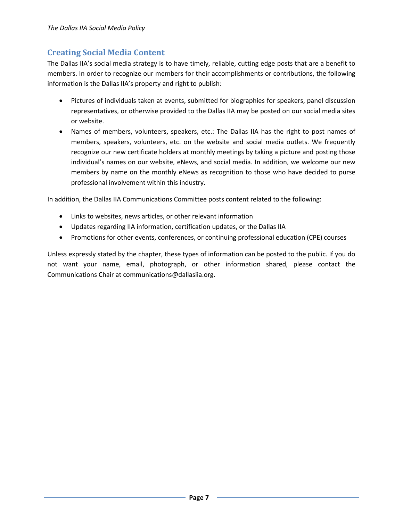## <span id="page-7-0"></span>**Creating Social Media Content**

The Dallas IIA's social media strategy is to have timely, reliable, cutting edge posts that are a benefit to members. In order to recognize our members for their accomplishments or contributions, the following information is the Dallas IIA's property and right to publish:

- Pictures of individuals taken at events, submitted for biographies for speakers, panel discussion representatives, or otherwise provided to the Dallas IIA may be posted on our social media sites or website.
- Names of members, volunteers, speakers, etc.: The Dallas IIA has the right to post names of members, speakers, volunteers, etc. on the website and social media outlets. We frequently recognize our new certificate holders at monthly meetings by taking a picture and posting those individual's names on our website, eNews, and social media. In addition, we welcome our new members by name on the monthly eNews as recognition to those who have decided to purse professional involvement within this industry.

In addition, the Dallas IIA Communications Committee posts content related to the following:

- Links to websites, news articles, or other relevant information
- Updates regarding IIA information, certification updates, or the Dallas IIA
- Promotions for other events, conferences, or continuing professional education (CPE) courses

Unless expressly stated by the chapter, these types of information can be posted to the public. If you do not want your name, email, photograph, or other information shared, please contact the Communications Chair at communications@dallasiia.org.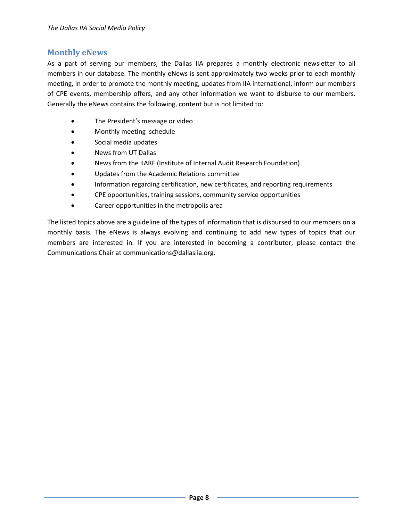#### <span id="page-8-0"></span>**Monthly eNews**

As a part of serving our members, the Dallas IIA prepares a monthly electronic newsletter to all members in our database. The monthly eNews is sent approximately two weeks prior to each monthly meeting, in order to promote the monthly meeting, updates from IIA international, inform our members of CPE events, membership offers, and any other information we want to disburse to our members. Generally the eNews contains the following, content but is not limited to:

- The President's message or video
- Monthly meeting schedule
- Social media updates
- News from UT Dallas
- News from the IIARF (Institute of Internal Audit Research Foundation)
- Updates from the Academic Relations committee
- Information regarding certification, new certificates, and reporting requirements
- CPE opportunities, training sessions, community service opportunities
- Career opportunities in the metropolis area

The listed topics above are a guideline of the types of information that is disbursed to our members on a monthly basis. The eNews is always evolving and continuing to add new types of topics that our members are interested in. If you are interested in becoming a contributor, please contact the Communications Chair at communications@dallasiia.org.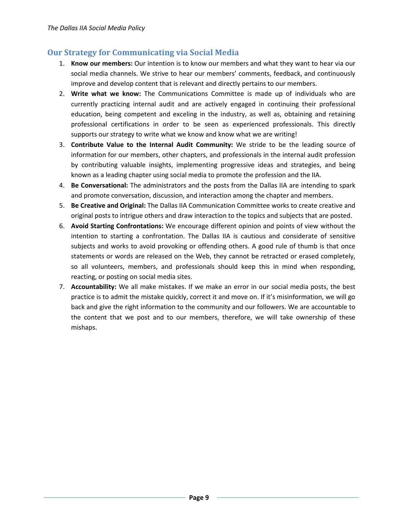#### <span id="page-9-0"></span>**Our Strategy for Communicating via Social Media**

- 1. **Know our members:** Our intention is to know our members and what they want to hear via our social media channels. We strive to hear our members' comments, feedback, and continuously improve and develop content that is relevant and directly pertains to our members.
- 2. **Write what we know:** The Communications Committee is made up of individuals who are currently practicing internal audit and are actively engaged in continuing their professional education, being competent and exceling in the industry, as well as, obtaining and retaining professional certifications in order to be seen as experienced professionals. This directly supports our strategy to write what we know and know what we are writing!
- 3. **Contribute Value to the Internal Audit Community:** We stride to be the leading source of information for our members, other chapters, and professionals in the internal audit profession by contributing valuable insights, implementing progressive ideas and strategies, and being known as a leading chapter using social media to promote the profession and the IIA.
- 4. **Be Conversational:** The administrators and the posts from the Dallas IIA are intending to spark and promote conversation, discussion, and interaction among the chapter and members.
- 5. **Be Creative and Original:** The Dallas IIA Communication Committee works to create creative and original posts to intrigue others and draw interaction to the topics and subjects that are posted.
- 6. **Avoid Starting Confrontations:** We encourage different opinion and points of view without the intention to starting a confrontation. The Dallas IIA is cautious and considerate of sensitive subjects and works to avoid provoking or offending others. A good rule of thumb is that once statements or words are released on the Web, they cannot be retracted or erased completely, so all volunteers, members, and professionals should keep this in mind when responding, reacting, or posting on social media sites.
- 7. **Accountability:** We all make mistakes. If we make an error in our social media posts, the best practice is to admit the mistake quickly, correct it and move on. If it's misinformation, we will go back and give the right information to the community and our followers. We are accountable to the content that we post and to our members, therefore, we will take ownership of these mishaps.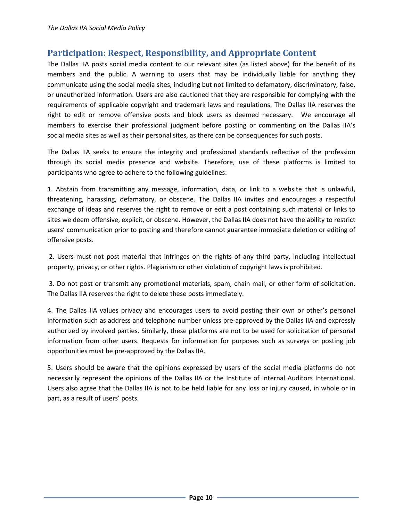## <span id="page-10-0"></span>**Participation: Respect, Responsibility, and Appropriate Content**

The Dallas IIA posts social media content to our relevant sites (as listed above) for the benefit of its members and the public. A warning to users that may be individually liable for anything they communicate using the social media sites, including but not limited to defamatory, discriminatory, false, or unauthorized information. Users are also cautioned that they are responsible for complying with the requirements of applicable copyright and trademark laws and regulations. The Dallas IIA reserves the right to edit or remove offensive posts and block users as deemed necessary. We encourage all members to exercise their professional judgment before posting or commenting on the Dallas IIA's social media sites as well as their personal sites, as there can be consequences for such posts.

The Dallas IIA seeks to ensure the integrity and professional standards reflective of the profession through its social media presence and website. Therefore, use of these platforms is limited to participants who agree to adhere to the following guidelines:

1. Abstain from transmitting any message, information, data, or link to a website that is unlawful, threatening, harassing, defamatory, or obscene. The Dallas IIA invites and encourages a respectful exchange of ideas and reserves the right to remove or edit a post containing such material or links to sites we deem offensive, explicit, or obscene. However, the Dallas IIA does not have the ability to restrict users' communication prior to posting and therefore cannot guarantee immediate deletion or editing of offensive posts.

2. Users must not post material that infringes on the rights of any third party, including intellectual property, privacy, or other rights. Plagiarism or other violation of copyright laws is prohibited.

3. Do not post or transmit any promotional materials, spam, chain mail, or other form of solicitation. The Dallas IIA reserves the right to delete these posts immediately.

4. The Dallas IIA values privacy and encourages users to avoid posting their own or other's personal information such as address and telephone number unless pre-approved by the Dallas IIA and expressly authorized by involved parties. Similarly, these platforms are not to be used for solicitation of personal information from other users. Requests for information for purposes such as surveys or posting job opportunities must be pre-approved by the Dallas IIA.

5. Users should be aware that the opinions expressed by users of the social media platforms do not necessarily represent the opinions of the Dallas IIA or the Institute of Internal Auditors International. Users also agree that the Dallas IIA is not to be held liable for any loss or injury caused, in whole or in part, as a result of users' posts.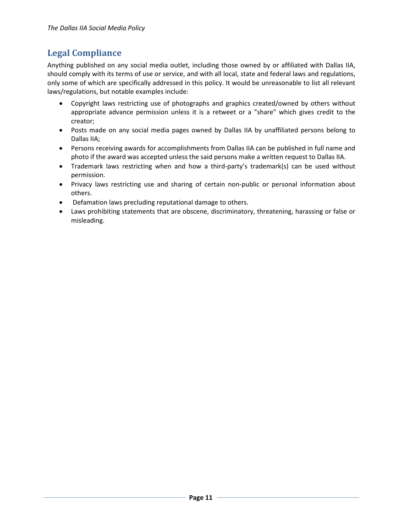## <span id="page-11-0"></span>**Legal Compliance**

Anything published on any social media outlet, including those owned by or affiliated with Dallas IIA, should comply with its terms of use or service, and with all local, state and federal laws and regulations, only some of which are specifically addressed in this policy. It would be unreasonable to list all relevant laws/regulations, but notable examples include:

- Copyright laws restricting use of photographs and graphics created/owned by others without appropriate advance permission unless it is a retweet or a "share" which gives credit to the creator;
- Posts made on any social media pages owned by Dallas IIA by unaffiliated persons belong to Dallas IIA;
- Persons receiving awards for accomplishments from Dallas IIA can be published in full name and photo if the award was accepted unless the said persons make a written request to Dallas IIA.
- Trademark laws restricting when and how a third-party's trademark(s) can be used without permission.
- Privacy laws restricting use and sharing of certain non-public or personal information about others.
- Defamation laws precluding reputational damage to others.
- Laws prohibiting statements that are obscene, discriminatory, threatening, harassing or false or misleading.